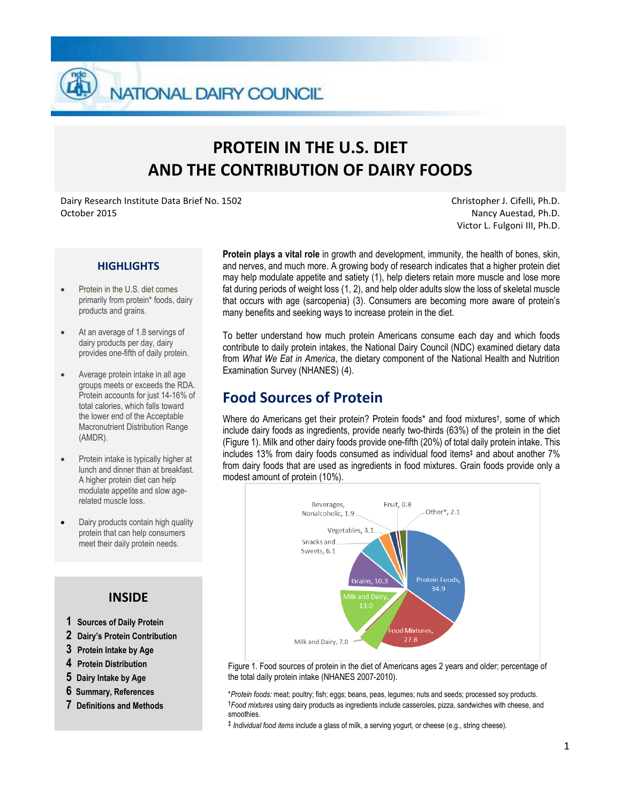**NATIONAL DAIRY COUNCIL** 

# **PROTEIN IN THE U.S. DIET AND THE CONTRIBUTION OF DAIRY FOODS**

Dairy Research Institute Data Brief No. 1502 October 2015

Christopher J. Cifelli, Ph.D. Nancy Auestad, Ph.D. Victor L. Fulgoni III, Ph.D.

#### **HIGHLIGHTS**

- Protein in the U.S. diet comes primarily from protein\* foods, dairy products and grains.
- At an average of 1.8 servings of dairy products per day, dairy provides one-fifth of daily protein.
- Average protein intake in all age groups meets or exceeds the RDA. Protein accounts for just 14-16% of total calories, which falls toward the lower end of the Acceptable Macronutrient Distribution Range (AMDR).
- Protein intake is typically higher at lunch and dinner than at breakfast. A higher protein diet can help modulate appetite and slow agerelated muscle loss.
- Dairy products contain high quality protein that can help consumers meet their daily protein needs.

#### **INSIDE**

- **1 Sources of Daily Protein**
- **2 Dairy's Protein Contribution**
- **3 Protein Intake by Age**
- **4 Protein Distribution**
- **5 Dairy Intake by Age**
- **6 Summary, References**
- **7 Definitions and Methods**

**Protein plays a vital role** in growth and development, immunity, the health of bones, skin, and nerves, and much more. A growing body of research indicates that a higher protein diet may help modulate appetite and satiety (1), help dieters retain more muscle and lose more fat during periods of weight loss (1, 2), and help older adults slow the loss of skeletal muscle that occurs with age (sarcopenia) (3). Consumers are becoming more aware of protein's many benefits and seeking ways to increase protein in the diet.

To better understand how much protein Americans consume each day and which foods contribute to daily protein intakes, the National Dairy Council (NDC) examined dietary data from *What We Eat in America*, the dietary component of the National Health and Nutrition Examination Survey (NHANES) (4).

### **Food Sources of Protein**

Where do Americans get their protein? Protein foods\* and food mixtures† , some of which include dairy foods as ingredients, provide nearly two-thirds (63%) of the protein in the diet (Figure 1). Milk and other dairy foods provide one-fifth (20%) of total daily protein intake. This includes 13% from dairy foods consumed as individual food items‡ and about another 7% from dairy foods that are used as ingredients in food mixtures. Grain foods provide only a modest amount of protein (10%).



Figure 1. Food sources of protein in the diet of Americans ages 2 years and older; percentage of the total daily protein intake (NHANES 2007-2010).

\**Protein foods:* meat; poultry; fish; eggs; beans, peas, legumes; nuts and seeds; processed soy products. †*Food mixtures* using dairy products as ingredients include casseroles, pizza, sandwiches with cheese, and smoothies.

‡ *Individual food items* include a glass of milk, a serving yogurt, or cheese (e.g., string cheese)*.*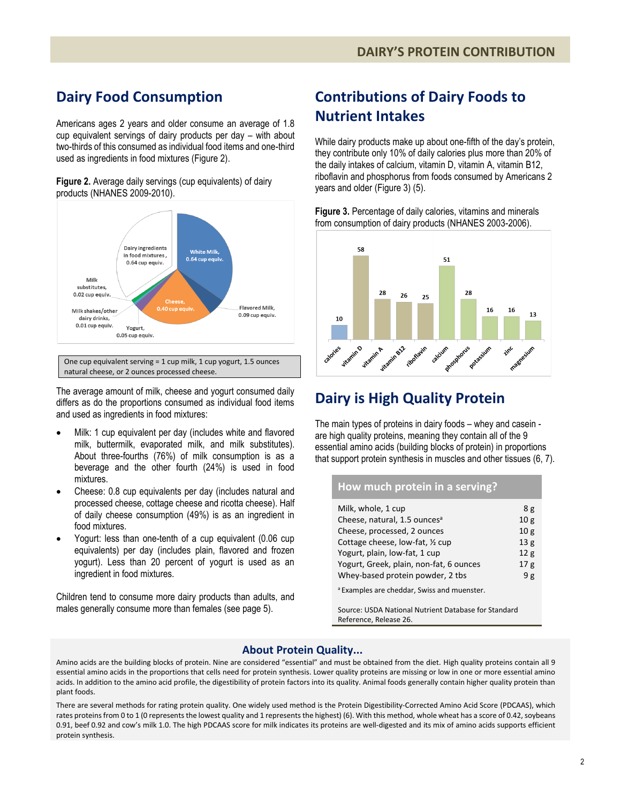# **Dairy Food Consumption**

Americans ages 2 years and older consume an average of 1.8 cup equivalent servings of dairy products per day – with about two-thirds of this consumed as individual food items and one-third used as ingredients in food mixtures (Figure 2).

**Figure 2.** Average daily servings (cup equivalents) of dairy products (NHANES 2009-2010).



The average amount of milk, cheese and yogurt consumed daily differs as do the proportions consumed as individual food items and used as ingredients in food mixtures:

- Milk: 1 cup equivalent per day (includes white and flavored milk, buttermilk, evaporated milk, and milk substitutes). About three-fourths (76%) of milk consumption is as a beverage and the other fourth (24%) is used in food mixtures.
- Cheese: 0.8 cup equivalents per day (includes natural and processed cheese, cottage cheese and ricotta cheese). Half of daily cheese consumption (49%) is as an ingredient in food mixtures.
- Yogurt: less than one-tenth of a cup equivalent (0.06 cup equivalents) per day (includes plain, flavored and frozen yogurt). Less than 20 percent of yogurt is used as an ingredient in food mixtures.

Children tend to consume more dairy products than adults, and males generally consume more than females (see page 5).

# **Contributions of Dairy Foods to Nutrient Intakes**

While dairy products make up about one-fifth of the day's protein. they contribute only 10% of daily calories plus more than 20% of the daily intakes of calcium, vitamin D, vitamin A, vitamin B12, riboflavin and phosphorus from foods consumed by Americans 2 years and older (Figure 3) (5).

**Figure 3.** Percentage of daily calories, vitamins and minerals from consumption of dairy products (NHANES 2003-2006).



# **Dairy is High Quality Protein**

The main types of proteins in dairy foods – whey and casein are high quality proteins, meaning they contain all of the 9 essential amino acids (building blocks of protein) in proportions that support protein synthesis in muscles and other tissues (6, 7).

#### **How much protein in a serving?**

| Milk, whole, 1 cup                                     | 8g              |
|--------------------------------------------------------|-----------------|
| Cheese, natural, 1.5 ounces <sup>a</sup>               | 10 <sub>g</sub> |
| Cheese, processed, 2 ounces                            | 10 <sub>g</sub> |
| Cottage cheese, low-fat, 1/2 cup                       | 13 <sub>g</sub> |
| Yogurt, plain, low-fat, 1 cup                          | 12g             |
| Yogurt, Greek, plain, non-fat, 6 ounces                | 17g             |
| Whey-based protein powder, 2 tbs                       | 9g              |
| <sup>a</sup> Examples are cheddar. Swiss and muenster. |                 |

Source: USDA National Nutrient Database for Standard Reference, Release 26.

#### **About Protein Quality...**

Amino acids are the building blocks of protein. Nine are considered "essential" and must be obtained from the diet. High quality proteins contain all 9 essential amino acids in the proportions that cells need for protein synthesis. Lower quality proteins are missing or low in one or more essential amino acids. In addition to the amino acid profile, the digestibility of protein factors into its quality. Animal foods generally contain higher quality protein than plant foods.

There are several methods for rating protein quality. One widely used method is the Protein Digestibility-Corrected Amino Acid Score (PDCAAS), which rates proteins from 0 to 1 (0 represents the lowest quality and 1 represents the highest) (6). With this method, whole wheat has a score of 0.42, soybeans 0.91, beef 0.92 and cow's milk 1.0. The high PDCAAS score for milk indicates its proteins are well-digested and its mix of amino acids supports efficient protein synthesis.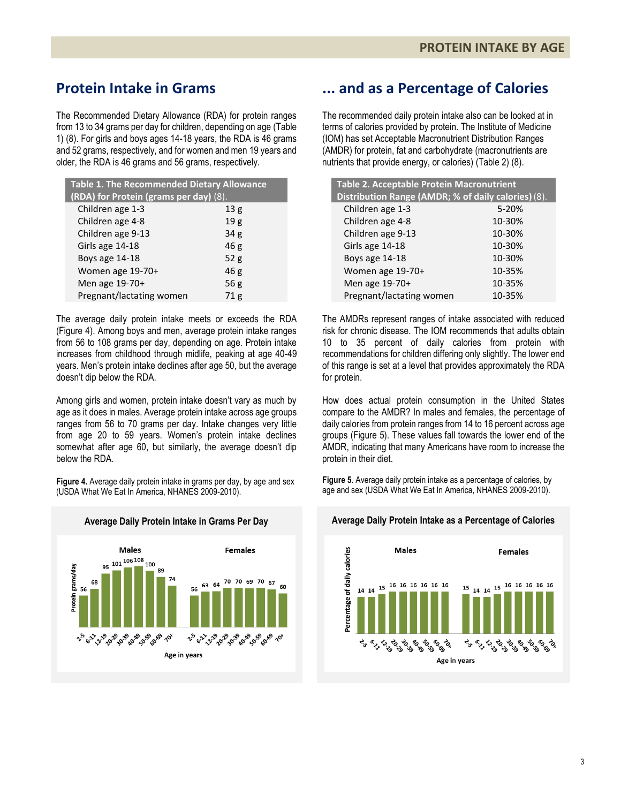# **Protein Intake in Grams**

The Recommended Dietary Allowance (RDA) for protein ranges from 13 to 34 grams per day for children, depending on age (Table 1) (8). For girls and boys ages 14-18 years, the RDA is 46 grams and 52 grams, respectively, and for women and men 19 years and older, the RDA is 46 grams and 56 grams, respectively.

| Table 1. The Recommended Dietary Allowance<br>(RDA) for Protein (grams per day) (8). |        |  |
|--------------------------------------------------------------------------------------|--------|--|
| Children age 1-3                                                                     | 13g    |  |
| Children age 4-8                                                                     | 19g    |  |
| Children age 9-13                                                                    | 34g    |  |
| Girls age 14-18                                                                      | 46g    |  |
| Boys age 14-18                                                                       | 52g    |  |
| Women age 19-70+                                                                     | 46g    |  |
| Men age 19-70+                                                                       | 56 $g$ |  |
| Pregnant/lactating women                                                             | 71g    |  |

The average daily protein intake meets or exceeds the RDA (Figure 4). Among boys and men, average protein intake ranges from 56 to 108 grams per day, depending on age. Protein intake increases from childhood through midlife, peaking at age 40-49 years. Men's protein intake declines after age 50, but the average doesn't dip below the RDA.

Among girls and women, protein intake doesn't vary as much by age as it does in males. Average protein intake across age groups ranges from 56 to 70 grams per day. Intake changes very little from age 20 to 59 years. Women's protein intake declines somewhat after age 60, but similarly, the average doesn't dip below the RDA.

**Figure 4.** Average daily protein intake in grams per day, by age and sex (USDA What We Eat In America, NHANES 2009-2010).



### **... and as a Percentage of Calories**

The recommended daily protein intake also can be looked at in terms of calories provided by protein. The Institute of Medicine (IOM) has set Acceptable Macronutrient Distribution Ranges (AMDR) for protein, fat and carbohydrate (macronutrients are nutrients that provide energy, or calories) (Table 2) (8).

| Table 2. Acceptable Protein Macronutrient           |        |  |
|-----------------------------------------------------|--------|--|
| Distribution Range (AMDR; % of daily calories) (8). |        |  |
| Children age 1-3                                    | 5-20%  |  |
| Children age 4-8                                    | 10-30% |  |
| Children age 9-13                                   | 10-30% |  |
| Girls age 14-18                                     | 10-30% |  |
| Boys age 14-18                                      | 10-30% |  |
| Women age 19-70+                                    | 10-35% |  |
| Men age 19-70+                                      | 10-35% |  |
| Pregnant/lactating women                            | 10-35% |  |

The AMDRs represent ranges of intake associated with reduced risk for chronic disease. The IOM recommends that adults obtain 10 to 35 percent of daily calories from protein with recommendations for children differing only slightly. The lower end of this range is set at a level that provides approximately the RDA for protein.

How does actual protein consumption in the United States compare to the AMDR? In males and females, the percentage of daily calories from protein ranges from 14 to 16 percent across age groups (Figure 5). These values fall towards the lower end of the AMDR, indicating that many Americans have room to increase the protein in their diet.

**Figure 5**. Average daily protein intake as a percentage of calories, by age and sex (USDA What We Eat In America, NHANES 2009-2010).



#### **Average Daily Protein Intake in Grams Per Day Average Daily Protein Intake as a Percentage of Calories**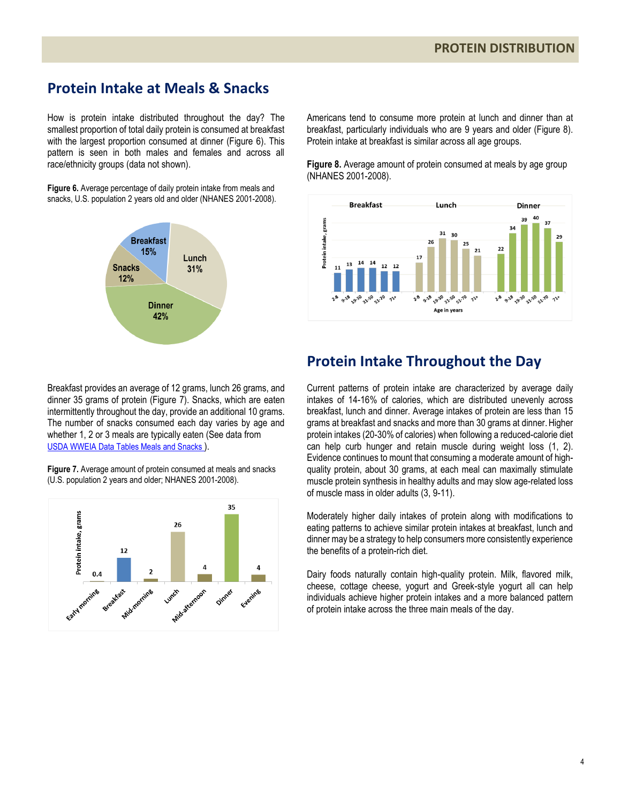### **Protein Intake at Meals & Snacks**

How is protein intake distributed throughout the day? The smallest proportion of total daily protein is consumed at breakfast with the largest proportion consumed at dinner (Figure 6). This pattern is seen in both males and females and across all race/ethnicity groups (data not shown).

**Figure 6.** Average percentage of daily protein intake from meals and snacks, U.S. population 2 years old and older (NHANES 2001-2008).



Americans tend to consume more protein at lunch and dinner than at breakfast, particularly individuals who are 9 years and older (Figure 8). Protein intake at breakfast is similar across all age groups.

**Figure 8.** Average amount of protein consumed at meals by age group (NHANES 2001-2008).



Breakfast provides an average of 12 grams, lunch 26 grams, and dinner 35 grams of protein (Figure 7). Snacks, which are eaten intermittently throughout the day, provide an additional 10 grams. The number of snacks consumed each day varies by age and whether 1, 2 or 3 meals are typically eaten (See data from [USDA WWEIA Data Tables Meals and Snacks](http://ars.usda.gov/Services/docs.htm?docid=18349) ).

**Figure 7.** Average amount of protein consumed at meals and snacks (U.S. population 2 years and older; NHANES 2001-2008).



# **Protein Intake Throughout the Day**

Current patterns of protein intake are characterized by average daily intakes of 14-16% of calories, which are distributed unevenly across breakfast, lunch and dinner. Average intakes of protein are less than 15 grams at breakfast and snacks and more than 30 grams at dinner. Higher protein intakes (20-30% of calories) when following a reduced-calorie diet can help curb hunger and retain muscle during weight loss (1, 2). Evidence continues to mount that consuming a moderate amount of highquality protein, about 30 grams, at each meal can maximally stimulate muscle protein synthesis in healthy adults and may slow age-related loss of muscle mass in older adults (3, 9-11).

Moderately higher daily intakes of protein along with modifications to eating patterns to achieve similar protein intakes at breakfast, lunch and dinner may be a strategy to help consumers more consistently experience the benefits of a protein-rich diet.

Dairy foods naturally contain high-quality protein. Milk, flavored milk, cheese, cottage cheese, yogurt and Greek-style yogurt all can help individuals achieve higher protein intakes and a more balanced pattern of protein intake across the three main meals of the day.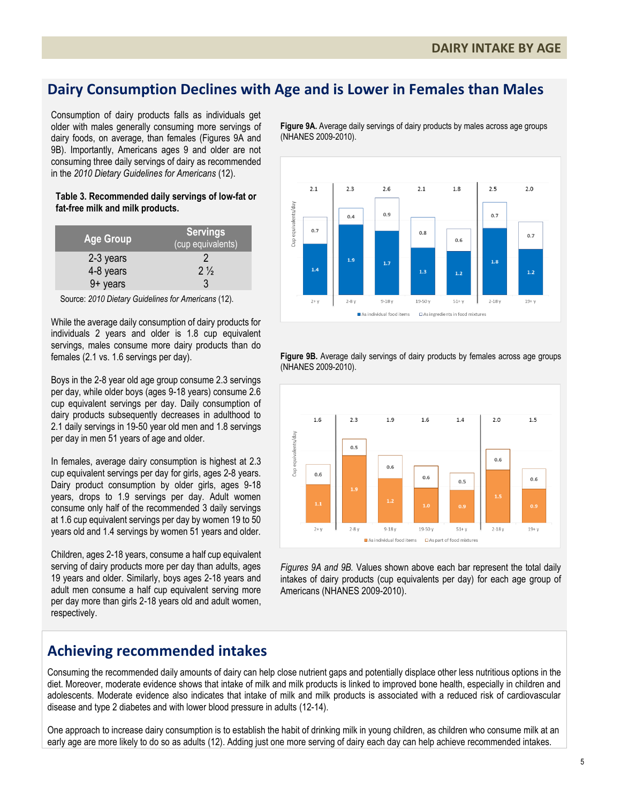### **Dairy Consumption Declines with Age and is Lower in Females than Males**

Consumption of dairy products falls as individuals get older with males generally consuming more servings of dairy foods, on average, than females (Figures 9A and 9B). Importantly, Americans ages 9 and older are not consuming three daily servings of dairy as recommended in the *2010 Dietary Guidelines for Americans* (12).

#### **Table 3. Recommended daily servings of low-fat or fat-free milk and milk products.**

| <b>Age Group</b>        | <b>Servings</b><br>(cup equivalents) |
|-------------------------|--------------------------------------|
| 2-3 years               |                                      |
| 4-8 years               | $2\frac{1}{2}$                       |
| $9 + \overline{y}$ ears | 3                                    |

Source: *2010 Dietary Guidelines for Americans* (12).

While the average daily consumption of dairy products for individuals 2 years and older is 1.8 cup equivalent servings, males consume more dairy products than do females (2.1 vs. 1.6 servings per day).

Boys in the 2-8 year old age group consume 2.3 servings per day, while older boys (ages 9-18 years) consume 2.6 cup equivalent servings per day. Daily consumption of dairy products subsequently decreases in adulthood to 2.1 daily servings in 19-50 year old men and 1.8 servings per day in men 51 years of age and older.

In females, average dairy consumption is highest at 2.3 cup equivalent servings per day for girls, ages 2-8 years. Dairy product consumption by older girls, ages 9-18 years, drops to 1.9 servings per day. Adult women consume only half of the recommended 3 daily servings at 1.6 cup equivalent servings per day by women 19 to 50 years old and 1.4 servings by women 51 years and older.

Children, ages 2-18 years, consume a half cup equivalent serving of dairy products more per day than adults, ages 19 years and older. Similarly, boys ages 2-18 years and adult men consume a half cup equivalent serving more per day more than girls 2-18 years old and adult women, respectively.

**Figure 9A.** Average daily servings of dairy products by males across age groups (NHANES 2009-2010).



**Figure 9B.** Average daily servings of dairy products by females across age groups (NHANES 2009-2010).



*Figures 9A and 9B.* Values shown above each bar represent the total daily intakes of dairy products (cup equivalents per day) for each age group of Americans (NHANES 2009-2010).

### **Achieving recommended intakes**

Consuming the recommended daily amounts of dairy can help close nutrient gaps and potentially displace other less nutritious options in the diet. Moreover, moderate evidence shows that intake of milk and milk products is linked to improved bone health, especially in children and adolescents. Moderate evidence also indicates that intake of milk and milk products is associated with a reduced risk of cardiovascular disease and type 2 diabetes and with lower blood pressure in adults (12-14).

One approach to increase dairy consumption is to establish the habit of drinking milk in young children, as children who consume milk at an early age are more likely to do so as adults (12). Adding just one more serving of dairy each day can help achieve recommended intakes.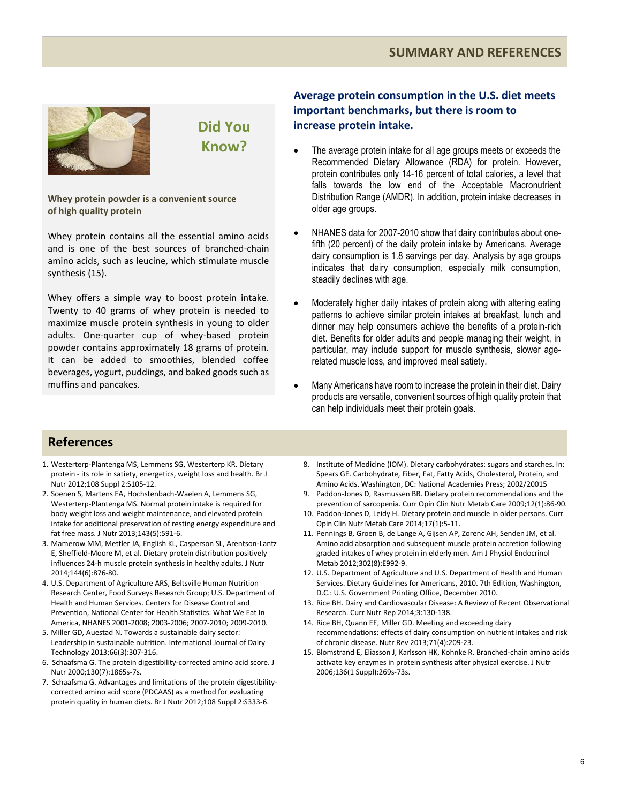#### **SUMMARY AND REFERENCES**



# **Did You Know?**

**Whey protein powder is a convenient source of high quality protein**

Whey protein contains all the essential amino acids and is one of the best sources of branched-chain amino acids, such as leucine, which stimulate muscle synthesis (15).

Whey offers a simple way to boost protein intake. Twenty to 40 grams of whey protein is needed to maximize muscle protein synthesis in young to older adults. One-quarter cup of whey-based protein powder contains approximately 18 grams of protein. It can be added to smoothies, blended coffee beverages, yogurt, puddings, and baked goods such as muffins and pancakes.

#### **Average protein consumption in the U.S. diet meets important benchmarks, but there is room to increase protein intake.**

- The average protein intake for all age groups meets or exceeds the Recommended Dietary Allowance (RDA) for protein. However, protein contributes only 14-16 percent of total calories, a level that falls towards the low end of the Acceptable Macronutrient Distribution Range (AMDR). In addition, protein intake decreases in older age groups.
- NHANES data for 2007-2010 show that dairy contributes about onefifth (20 percent) of the daily protein intake by Americans. Average dairy consumption is 1.8 servings per day. Analysis by age groups indicates that dairy consumption, especially milk consumption, steadily declines with age.
- Moderately higher daily intakes of protein along with altering eating patterns to achieve similar protein intakes at breakfast, lunch and dinner may help consumers achieve the benefits of a protein-rich diet. Benefits for older adults and people managing their weight, in particular, may include support for muscle synthesis, slower agerelated muscle loss, and improved meal satiety.
- Many Americans have room to increase the protein in their diet. Dairy products are versatile, convenient sources of high quality protein that can help individuals meet their protein goals.

#### **References**

- 1. Westerterp-Plantenga MS, Lemmens SG, Westerterp KR. Dietary protein - its role in satiety, energetics, weight loss and health. Br J Nutr 2012;108 Suppl 2:S105-12.
- 2. Soenen S, Martens EA, Hochstenbach-Waelen A, Lemmens SG, Westerterp-Plantenga MS. Normal protein intake is required for body weight loss and weight maintenance, and elevated protein intake for additional preservation of resting energy expenditure and fat free mass. J Nutr 2013;143(5):591-6.
- 3. Mamerow MM, Mettler JA, English KL, Casperson SL, Arentson-Lantz E, Sheffield-Moore M, et al. Dietary protein distribution positively influences 24-h muscle protein synthesis in healthy adults. J Nutr 2014;144(6):876-80.
- 4. U.S. Department of Agriculture ARS, Beltsville Human Nutrition Research Center, Food Surveys Research Group; U.S. Department of Health and Human Services. Centers for Disease Control and Prevention, National Center for Health Statistics. What We Eat In America, NHANES 2001-2008; 2003-2006; 2007-2010; 2009-2010.
- 5. Miller GD, Auestad N. Towards a sustainable dairy sector: Leadership in sustainable nutrition. International Journal of Dairy Technology 2013;66(3):307-316.
- 6. Schaafsma G. The protein digestibility-corrected amino acid score. J Nutr 2000;130(7):1865s-7s.
- 7. Schaafsma G. Advantages and limitations of the protein digestibilitycorrected amino acid score (PDCAAS) as a method for evaluating protein quality in human diets. Br J Nutr 2012;108 Suppl 2:S333-6.
- 8. Institute of Medicine (IOM). Dietary carbohydrates: sugars and starches. In: Spears GE. Carbohydrate, Fiber, Fat, Fatty Acids, Cholesterol, Protein, and Amino Acids. Washington, DC: National Academies Press; 2002/20015
- 9. Paddon-Jones D, Rasmussen BB. Dietary protein recommendations and the prevention of sarcopenia. Curr Opin Clin Nutr Metab Care 2009;12(1):86-90.
- 10. Paddon-Jones D, Leidy H. Dietary protein and muscle in older persons. Curr Opin Clin Nutr Metab Care 2014;17(1):5-11.
- 11. Pennings B, Groen B, de Lange A, Gijsen AP, Zorenc AH, Senden JM, et al. Amino acid absorption and subsequent muscle protein accretion following graded intakes of whey protein in elderly men. Am J Physiol Endocrinol Metab 2012;302(8):E992-9.
- 12. U.S. Department of Agriculture and U.S. Department of Health and Human Services. Dietary Guidelines for Americans, 2010. 7th Edition, Washington, D.C.: U.S. Government Printing Office, December 2010.
- 13. Rice BH. Dairy and Cardiovascular Disease: A Review of Recent Observational Research. Curr Nutr Rep 2014;3:130-138.
- 14. Rice BH, Quann EE, Miller GD. Meeting and exceeding dairy recommendations: effects of dairy consumption on nutrient intakes and risk of chronic disease. Nutr Rev 2013;71(4):209-23.
- 15. Blomstrand E, Eliasson J, Karlsson HK, Kohnke R. Branched-chain amino acids activate key enzymes in protein synthesis after physical exercise. J Nutr 2006;136(1 Suppl):269s-73s.